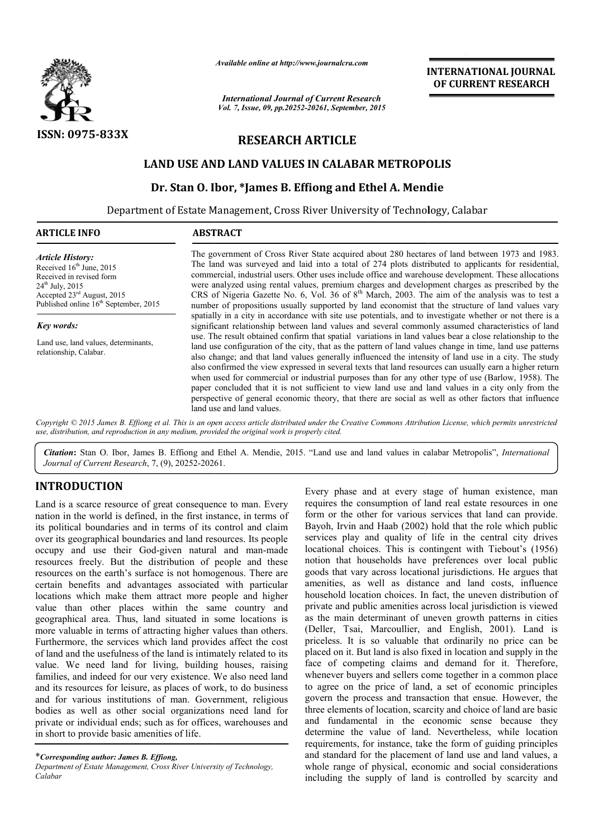

*Available online at http://www.journalcra.com*

*International Journal of Current Research Vol. 7, Issue, 09, pp.20252-20261, September, 2015* **INTERNATIONAL INTERNATIONAL JOURNAL OF CURRENT RESEARCH** 

# **RESEARCH ARTICLE**

# **LAND USE AND LAND VALUES IN CALABAR METROPOLIS**

# Dr. Stan O. Ibor, \*James B. Effiong and Ethel A. Mendie

Department of Estate Management, Cross River University of Technology, Calabar

| <b>ABSTRACT</b>                                                                                                                                                                                                                                                                                                                                                                                                                                                                                                                                                                                                                                                                                                                                                                            |
|--------------------------------------------------------------------------------------------------------------------------------------------------------------------------------------------------------------------------------------------------------------------------------------------------------------------------------------------------------------------------------------------------------------------------------------------------------------------------------------------------------------------------------------------------------------------------------------------------------------------------------------------------------------------------------------------------------------------------------------------------------------------------------------------|
| The government of Cross River State acquired about 280 hectares of land between 1973 and 1983.<br>The land was surveyed and laid into a total of 274 plots distributed to applicants for residential,<br>commercial, industrial users. Other uses include office and warehouse development. These allocations<br>were analyzed using rental values, premium charges and development charges as prescribed by the<br>CRS of Nigeria Gazette No. 6, Vol. 36 of $8th$ March, 2003. The aim of the analysis was to test a<br>number of propositions usually supported by land economist that the structure of land values vary                                                                                                                                                                 |
| spatially in a city in accordance with site use potentials, and to investigate whether or not there is a<br>significant relationship between land values and several commonly assumed characteristics of land                                                                                                                                                                                                                                                                                                                                                                                                                                                                                                                                                                              |
| use. The result obtained confirm that spatial variations in land values bear a close relationship to the<br>land use configuration of the city, that as the pattern of land values change in time, land use patterns<br>also change; and that land values generally influenced the intensity of land use in a city. The study<br>also confirmed the view expressed in several texts that land resources can usually earn a higher return<br>when used for commercial or industrial purposes than for any other type of use (Barlow, 1958). The<br>paper concluded that it is not sufficient to view land use and land values in a city only from the<br>perspective of general economic theory, that there are social as well as other factors that influence<br>land use and land values. |
|                                                                                                                                                                                                                                                                                                                                                                                                                                                                                                                                                                                                                                                                                                                                                                                            |

*Citation***:** Stan O. Ibor, James B. Effiong and Ethel A. Mendie, 2015. "Land use and land values in calabar Metrop Metropolis", *International Journal of Current Research*, 7, (9), 20252-20261 20261.

# **INTRODUCTION**

Land is a scarce resource of great consequence to man. Every nation in the world is defined, in the first instance, in terms of its political boundaries and in terms of its control and claim over its geographical boundaries and land resources. Its people occupy and use their God-given natural and man-made resources freely. But the distribution of people and these resources on the earth's surface is not homogenous. There are certain benefits and advantages associated with particular locations which make them attract more people and higher value than other places within the same country and geographical area. Thus, land situated in some locations is more valuable in terms of attracting higher values than others. Furthermore, the services which land provides affect the cost of land and the usefulness of the land is intimately related to its value. We need land for living, building houses, raising families, and indeed for our very existence. We also need land and its resources for leisure, as places of work, to d do business and for various institutions of man. Government, religious bodies as well as other social organizations need land for private or individual ends; such as for offices, warehouses and in short to provide basic amenities of life.

\**Corresponding author: James B. Effiong,*

*Department of Estate Management, Cross River University of Technology, Calabar*

Every phase and at every stage of human existence, man requires the consumption of land real estate resources in one form or the other for various services that land can provide. Bayoh, Irvin and Haab (2002) hold that the role which public services play and quality of life in the central city drives locational choices. This is contingent with Tiebout's (1956) Bayoh, Irvin and Haab (2002) hold that the role which public services play and quality of life in the central city drives locational choices. This is contingent with Tiebout's (1956) notion that households have preferences goods that vary across locational jurisdictions. He argues that amenities, as well as distance and land costs, influence household location choices. In fact, the uneven distribution of private and public amenities across local jurisdiction is as the main determinant of uneven growth patterns in cities (Deller, Tsai, Marcoullier, and English, 2001). Land is priceless. It is so valuable that ordinarily no price can be placed on it. But land is also fixed in location and supply in the face of competing claims and demand for it. Therefore, whenever buyers and sellers come together in a common place to agree on the price of land, a set of economic principles govern the process and transaction that ensue. However, the three elements of location, scarcity and choice of land are basic and fundamental in the economic sense because they determine the value of land. Nevertheless, while location requirements, for instance, take the form of guiding principles and standard for the placement of land use and land values, a whole range of physical, economic and social considerations including the supply of land is controlled by scarcity and phase and at every stage of human existence, man es the consumption of land real estate resources in one or the other for various services that land can provide. goods that vary across locational jurisdictions. He argues that amenities, as well as distance and land costs, influence household location choices. In fact, the uneven distribution of private and public amenities across l priceless. It is so valuable that ordinarily no price can be placed on it. But land is also fixed in location and supply in the face of competing claims and demand for it. Therefore, whenever buyers and sellers come togeth **INTERNATIONAL JOURNAL FORM SCHOIM SCHOIM SCHOIM SCHOIM SCHOIM SCHOIM SCHOIM SCHOIM SCHOIM SCHOIM SCHOIM SCHOIM SCHOIM SCHOIM SCHOIM SCHOIM SCHOIM SCHOIM SCHOIM SCHOIM SCHOIM SCHOIM SCHOIM SCHOIM SCHOIM SCHOIM SCHOIM SCHO**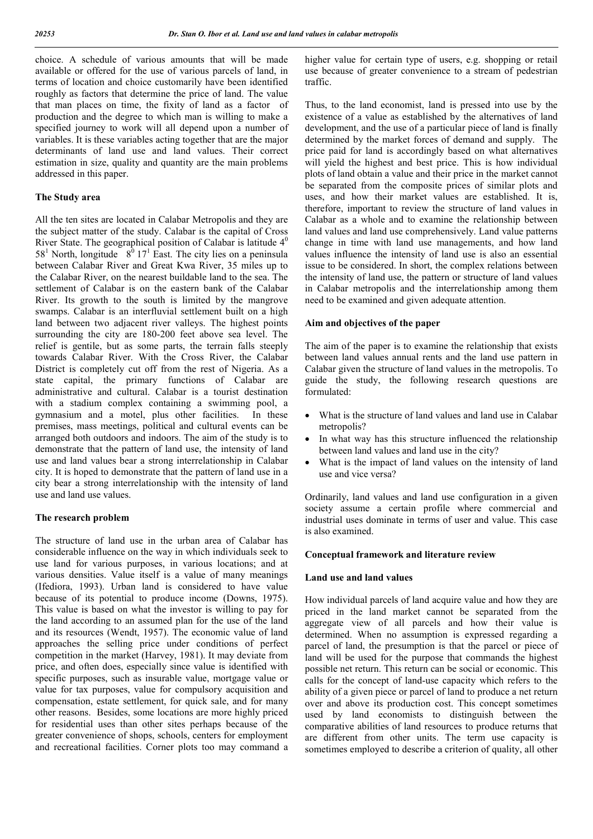choice. A schedule of various amounts that will be made available or offered for the use of various parcels of land, in terms of location and choice customarily have been identified roughly as factors that determine the price of land. The value that man places on time, the fixity of land as a factor of production and the degree to which man is willing to make a specified journey to work will all depend upon a number of variables. It is these variables acting together that are the major determinants of land use and land values. Their correct estimation in size, quality and quantity are the main problems addressed in this paper.

## **The Study area**

All the ten sites are located in Calabar Metropolis and they are the subject matter of the study. Calabar is the capital of Cross River State. The geographical position of Calabar is latitude  $4<sup>0</sup>$  $58^1$  North, longitude  $8^0$  17<sup>1</sup> East. The city lies on a peninsula between Calabar River and Great Kwa River, 35 miles up to the Calabar River, on the nearest buildable land to the sea. The settlement of Calabar is on the eastern bank of the Calabar River. Its growth to the south is limited by the mangrove swamps. Calabar is an interfluvial settlement built on a high land between two adjacent river valleys. The highest points surrounding the city are 180-200 feet above sea level. The relief is gentile, but as some parts, the terrain falls steeply towards Calabar River. With the Cross River, the Calabar District is completely cut off from the rest of Nigeria. As a state capital, the primary functions of Calabar are administrative and cultural. Calabar is a tourist destination with a stadium complex containing a swimming pool, a gymnasium and a motel, plus other facilities. In these premises, mass meetings, political and cultural events can be arranged both outdoors and indoors. The aim of the study is to demonstrate that the pattern of land use, the intensity of land use and land values bear a strong interrelationship in Calabar city. It is hoped to demonstrate that the pattern of land use in a city bear a strong interrelationship with the intensity of land use and land use values.

## **The research problem**

The structure of land use in the urban area of Calabar has considerable influence on the way in which individuals seek to use land for various purposes, in various locations; and at various densities. Value itself is a value of many meanings (Ifediora, 1993). Urban land is considered to have value because of its potential to produce income (Downs, 1975). This value is based on what the investor is willing to pay for the land according to an assumed plan for the use of the land and its resources (Wendt, 1957). The economic value of land approaches the selling price under conditions of perfect competition in the market (Harvey, 1981). It may deviate from price, and often does, especially since value is identified with specific purposes, such as insurable value, mortgage value or value for tax purposes, value for compulsory acquisition and compensation, estate settlement, for quick sale, and for many other reasons. Besides, some locations are more highly priced for residential uses than other sites perhaps because of the greater convenience of shops, schools, centers for employment and recreational facilities. Corner plots too may command a

higher value for certain type of users, e.g. shopping or retail use because of greater convenience to a stream of pedestrian traffic.

Thus, to the land economist, land is pressed into use by the existence of a value as established by the alternatives of land development, and the use of a particular piece of land is finally determined by the market forces of demand and supply. The price paid for land is accordingly based on what alternatives will yield the highest and best price. This is how individual plots of land obtain a value and their price in the market cannot be separated from the composite prices of similar plots and uses, and how their market values are established. It is, therefore, important to review the structure of land values in Calabar as a whole and to examine the relationship between land values and land use comprehensively. Land value patterns change in time with land use managements, and how land values influence the intensity of land use is also an essential issue to be considered. In short, the complex relations between the intensity of land use, the pattern or structure of land values in Calabar metropolis and the interrelationship among them need to be examined and given adequate attention.

## **Aim and objectives of the paper**

The aim of the paper is to examine the relationship that exists between land values annual rents and the land use pattern in Calabar given the structure of land values in the metropolis. To guide the study, the following research questions are formulated:

- What is the structure of land values and land use in Calabar metropolis?
- In what way has this structure influenced the relationship between land values and land use in the city?
- What is the impact of land values on the intensity of land use and vice versa?

Ordinarily, land values and land use configuration in a given society assume a certain profile where commercial and industrial uses dominate in terms of user and value. This case is also examined.

## **Conceptual framework and literature review**

# **Land use and land values**

How individual parcels of land acquire value and how they are priced in the land market cannot be separated from the aggregate view of all parcels and how their value is determined. When no assumption is expressed regarding a parcel of land, the presumption is that the parcel or piece of land will be used for the purpose that commands the highest possible net return. This return can be social or economic. This calls for the concept of land-use capacity which refers to the ability of a given piece or parcel of land to produce a net return over and above its production cost. This concept sometimes used by land economists to distinguish between the comparative abilities of land resources to produce returns that are different from other units. The term use capacity is sometimes employed to describe a criterion of quality, all other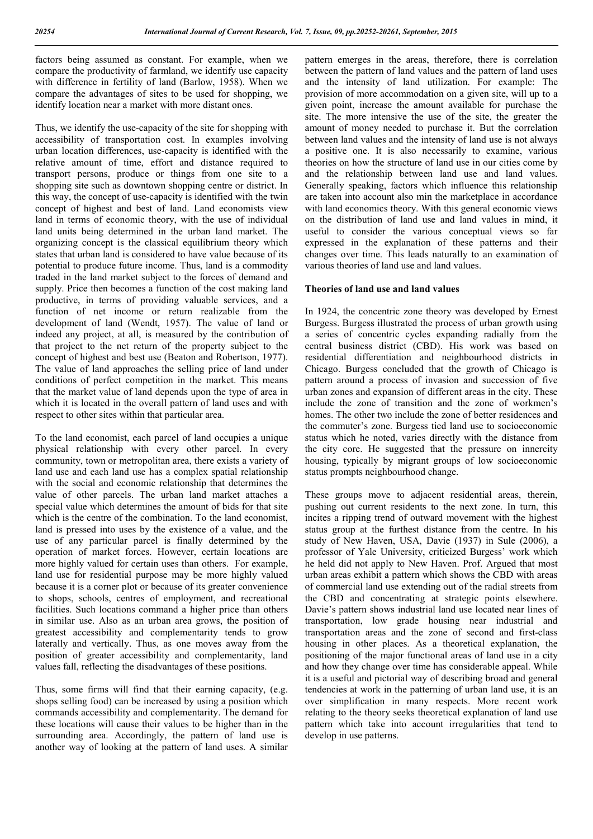factors being assumed as constant. For example, when we compare the productivity of farmland, we identify use capacity with difference in fertility of land (Barlow, 1958). When we compare the advantages of sites to be used for shopping, we identify location near a market with more distant ones.

Thus, we identify the use-capacity of the site for shopping with accessibility of transportation cost. In examples involving urban location differences, use-capacity is identified with the relative amount of time, effort and distance required to transport persons, produce or things from one site to a shopping site such as downtown shopping centre or district. In this way, the concept of use-capacity is identified with the twin concept of highest and best of land. Land economists view land in terms of economic theory, with the use of individual land units being determined in the urban land market. The organizing concept is the classical equilibrium theory which states that urban land is considered to have value because of its potential to produce future income. Thus, land is a commodity traded in the land market subject to the forces of demand and supply. Price then becomes a function of the cost making land productive, in terms of providing valuable services, and a function of net income or return realizable from the development of land (Wendt, 1957). The value of land or indeed any project, at all, is measured by the contribution of that project to the net return of the property subject to the concept of highest and best use (Beaton and Robertson, 1977). The value of land approaches the selling price of land under conditions of perfect competition in the market. This means that the market value of land depends upon the type of area in which it is located in the overall pattern of land uses and with respect to other sites within that particular area.

To the land economist, each parcel of land occupies a unique physical relationship with every other parcel. In every community, town or metropolitan area, there exists a variety of land use and each land use has a complex spatial relationship with the social and economic relationship that determines the value of other parcels. The urban land market attaches a special value which determines the amount of bids for that site which is the centre of the combination. To the land economist, land is pressed into uses by the existence of a value, and the use of any particular parcel is finally determined by the operation of market forces. However, certain locations are more highly valued for certain uses than others. For example, land use for residential purpose may be more highly valued because it is a corner plot or because of its greater convenience to shops, schools, centres of employment, and recreational facilities. Such locations command a higher price than others in similar use. Also as an urban area grows, the position of greatest accessibility and complementarity tends to grow laterally and vertically. Thus, as one moves away from the position of greater accessibility and complementarity, land values fall, reflecting the disadvantages of these positions.

Thus, some firms will find that their earning capacity, (e.g. shops selling food) can be increased by using a position which commands accessibility and complementarity. The demand for these locations will cause their values to be higher than in the surrounding area. Accordingly, the pattern of land use is another way of looking at the pattern of land uses. A similar

pattern emerges in the areas, therefore, there is correlation between the pattern of land values and the pattern of land uses and the intensity of land utilization. For example: The provision of more accommodation on a given site, will up to a given point, increase the amount available for purchase the site. The more intensive the use of the site, the greater the amount of money needed to purchase it. But the correlation between land values and the intensity of land use is not always a positive one. It is also necessarily to examine, various theories on how the structure of land use in our cities come by and the relationship between land use and land values. Generally speaking, factors which influence this relationship are taken into account also min the marketplace in accordance with land economics theory. With this general economic views on the distribution of land use and land values in mind, it useful to consider the various conceptual views so far expressed in the explanation of these patterns and their changes over time. This leads naturally to an examination of various theories of land use and land values.

## **Theories of land use and land values**

In 1924, the concentric zone theory was developed by Ernest Burgess. Burgess illustrated the process of urban growth using a series of concentric cycles expanding radially from the central business district (CBD). His work was based on residential differentiation and neighbourhood districts in Chicago. Burgess concluded that the growth of Chicago is pattern around a process of invasion and succession of five urban zones and expansion of different areas in the city. These include the zone of transition and the zone of workmen's homes. The other two include the zone of better residences and the commuter's zone. Burgess tied land use to socioeconomic status which he noted, varies directly with the distance from the city core. He suggested that the pressure on innercity housing, typically by migrant groups of low socioeconomic status prompts neighbourhood change.

These groups move to adjacent residential areas, therein, pushing out current residents to the next zone. In turn, this incites a ripping trend of outward movement with the highest status group at the furthest distance from the centre. In his study of New Haven, USA, Davie (1937) in Sule (2006), a professor of Yale University, criticized Burgess' work which he held did not apply to New Haven. Prof. Argued that most urban areas exhibit a pattern which shows the CBD with areas of commercial land use extending out of the radial streets from the CBD and concentrating at strategic points elsewhere. Davie's pattern shows industrial land use located near lines of transportation, low grade housing near industrial and transportation areas and the zone of second and first-class housing in other places. As a theoretical explanation, the positioning of the major functional areas of land use in a city and how they change over time has considerable appeal. While it is a useful and pictorial way of describing broad and general tendencies at work in the patterning of urban land use, it is an over simplification in many respects. More recent work relating to the theory seeks theoretical explanation of land use pattern which take into account irregularities that tend to develop in use patterns.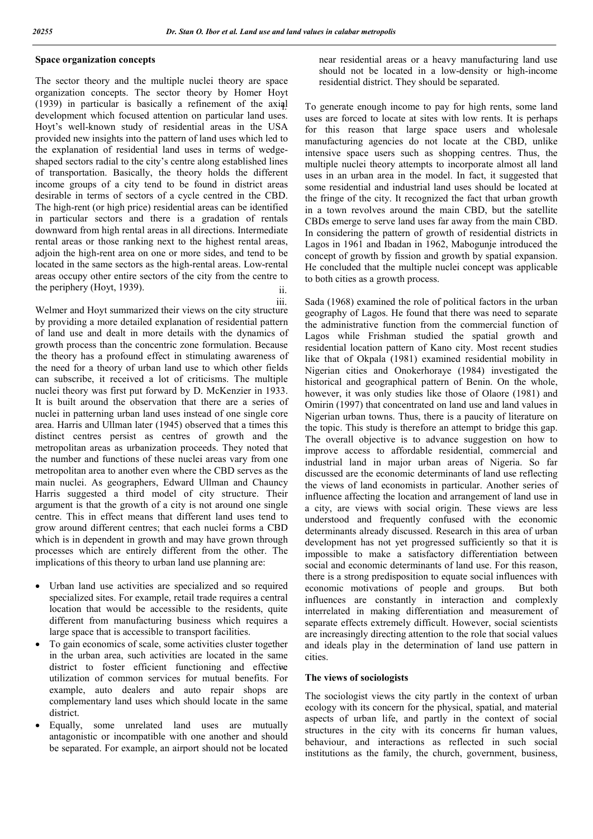## **Space organization concepts**

The sector theory and the multiple nuclei theory are space organization concepts. The sector theory by Homer Hoyt (1939) in particular is basically a refinement of the axial development which focused attention on particular land uses. Hoyt's well-known study of residential areas in the USA provided new insights into the pattern of land uses which led to the explanation of residential land uses in terms of wedgeshaped sectors radial to the city's centre along established lines of transportation. Basically, the theory holds the different income groups of a city tend to be found in district areas desirable in terms of sectors of a cycle centred in the CBD. The high-rent (or high price) residential areas can be identified in particular sectors and there is a gradation of rentals downward from high rental areas in all directions. Intermediate rental areas or those ranking next to the highest rental areas, adjoin the high-rent area on one or more sides, and tend to be located in the same sectors as the high-rental areas. Low-rental areas occupy other entire sectors of the city from the centre to the periphery (Hoyt, 1939). ii.

Welmer and Hoyt summarized their views on the city structure by providing a more detailed explanation of residential pattern of land use and dealt in more details with the dynamics of growth process than the concentric zone formulation. Because the theory has a profound effect in stimulating awareness of the need for a theory of urban land use to which other fields can subscribe, it received a lot of criticisms. The multiple nuclei theory was first put forward by D. McKenzier in 1933. It is built around the observation that there are a series of nuclei in patterning urban land uses instead of one single core area. Harris and Ullman later (1945) observed that a times this distinct centres persist as centres of growth and the metropolitan areas as urbanization proceeds. They noted that the number and functions of these nuclei areas vary from one metropolitan area to another even where the CBD serves as the main nuclei. As geographers, Edward Ullman and Chauncy Harris suggested a third model of city structure. Their argument is that the growth of a city is not around one single centre. This in effect means that different land uses tend to grow around different centres; that each nuclei forms a CBD which is in dependent in growth and may have grown through processes which are entirely different from the other. The implications of this theory to urban land use planning are:

- Urban land use activities are specialized and so required specialized sites. For example, retail trade requires a central location that would be accessible to the residents, quite different from manufacturing business which requires a large space that is accessible to transport facilities.
- To gain economics of scale, some activities cluster together in the urban area, such activities are located in the same district to foster efficient functioning and effective utilization of common services for mutual benefits. For example, auto dealers and auto repair shops are complementary land uses which should locate in the same district.
- Equally, some unrelated land uses are mutually antagonistic or incompatible with one another and should be separated. For example, an airport should not be located

near residential areas or a heavy manufacturing land use should not be located in a low-density or high-income residential district. They should be separated.

To generate enough income to pay for high rents, some land uses are forced to locate at sites with low rents. It is perhaps for this reason that large space users and wholesale manufacturing agencies do not locate at the CBD, unlike intensive space users such as shopping centres. Thus, the multiple nuclei theory attempts to incorporate almost all land uses in an urban area in the model. In fact, it suggested that some residential and industrial land uses should be located at the fringe of the city. It recognized the fact that urban growth in a town revolves around the main CBD, but the satellite CBDs emerge to serve land uses far away from the main CBD. In considering the pattern of growth of residential districts in Lagos in 1961 and Ibadan in 1962, Mabogunje introduced the concept of growth by fission and growth by spatial expansion. He concluded that the multiple nuclei concept was applicable to both cities as a growth process.

iii. Sada (1968) examined the role of political factors in the urban geography of Lagos. He found that there was need to separate the administrative function from the commercial function of Lagos while Frishman studied the spatial growth and residential location pattern of Kano city. Most recent studies like that of Okpala (1981) examined residential mobility in Nigerian cities and Onokerhoraye (1984) investigated the historical and geographical pattern of Benin. On the whole, however, it was only studies like those of Olaore (1981) and Omirin (1997) that concentrated on land use and land values in Nigerian urban towns. Thus, there is a paucity of literature on the topic. This study is therefore an attempt to bridge this gap. The overall objective is to advance suggestion on how to improve access to affordable residential, commercial and industrial land in major urban areas of Nigeria. So far discussed are the economic determinants of land use reflecting the views of land economists in particular. Another series of influence affecting the location and arrangement of land use in a city, are views with social origin. These views are less understood and frequently confused with the economic determinants already discussed. Research in this area of urban development has not yet progressed sufficiently so that it is impossible to make a satisfactory differentiation between social and economic determinants of land use. For this reason, there is a strong predisposition to equate social influences with economic motivations of people and groups. But both influences are constantly in interaction and complexly interrelated in making differentiation and measurement of separate effects extremely difficult. However, social scientists are increasingly directing attention to the role that social values and ideals play in the determination of land use pattern in cities.

#### **The views of sociologists**

The sociologist views the city partly in the context of urban ecology with its concern for the physical, spatial, and material aspects of urban life, and partly in the context of social structures in the city with its concerns fir human values, behaviour, and interactions as reflected in such social institutions as the family, the church, government, business,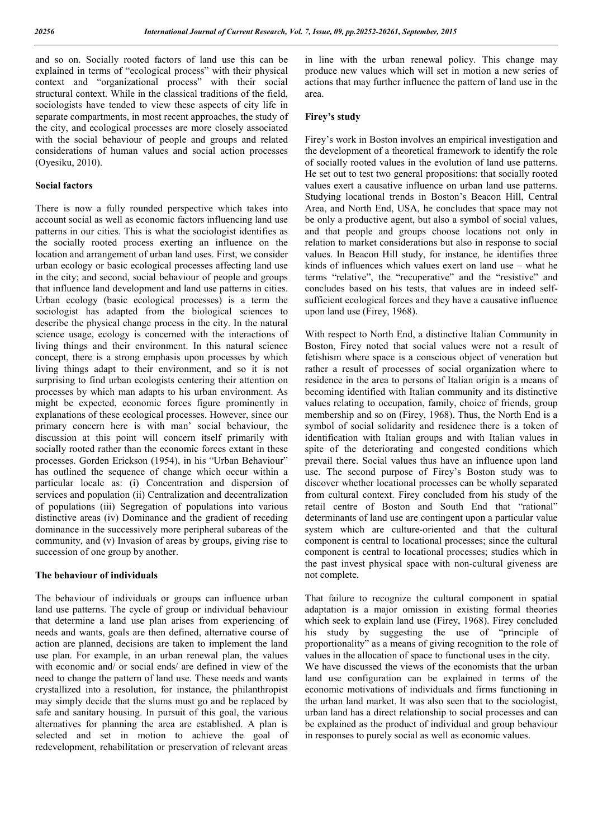and so on. Socially rooted factors of land use this can be explained in terms of "ecological process" with their physical context and "organizational process" with their social structural context. While in the classical traditions of the field, sociologists have tended to view these aspects of city life in separate compartments, in most recent approaches, the study of the city, and ecological processes are more closely associated with the social behaviour of people and groups and related considerations of human values and social action processes (Oyesiku, 2010).

#### **Social factors**

There is now a fully rounded perspective which takes into account social as well as economic factors influencing land use patterns in our cities. This is what the sociologist identifies as the socially rooted process exerting an influence on the location and arrangement of urban land uses. First, we consider urban ecology or basic ecological processes affecting land use in the city; and second, social behaviour of people and groups that influence land development and land use patterns in cities. Urban ecology (basic ecological processes) is a term the sociologist has adapted from the biological sciences to describe the physical change process in the city. In the natural science usage, ecology is concerned with the interactions of living things and their environment. In this natural science concept, there is a strong emphasis upon processes by which living things adapt to their environment, and so it is not surprising to find urban ecologists centering their attention on processes by which man adapts to his urban environment. As might be expected, economic forces figure prominently in explanations of these ecological processes. However, since our primary concern here is with man' social behaviour, the discussion at this point will concern itself primarily with socially rooted rather than the economic forces extant in these processes. Gorden Erickson (1954), in his "Urban Behaviour" has outlined the sequence of change which occur within a particular locale as: (i) Concentration and dispersion of services and population (ii) Centralization and decentralization of populations (iii) Segregation of populations into various distinctive areas (iv) Dominance and the gradient of receding dominance in the successively more peripheral subareas of the community, and (v) Invasion of areas by groups, giving rise to succession of one group by another.

#### **The behaviour of individuals**

The behaviour of individuals or groups can influence urban land use patterns. The cycle of group or individual behaviour that determine a land use plan arises from experiencing of needs and wants, goals are then defined, alternative course of action are planned, decisions are taken to implement the land use plan. For example, in an urban renewal plan, the values with economic and/ or social ends/ are defined in view of the need to change the pattern of land use. These needs and wants crystallized into a resolution, for instance, the philanthropist may simply decide that the slums must go and be replaced by safe and sanitary housing. In pursuit of this goal, the various alternatives for planning the area are established. A plan is selected and set in motion to achieve the goal of redevelopment, rehabilitation or preservation of relevant areas

in line with the urban renewal policy. This change may produce new values which will set in motion a new series of actions that may further influence the pattern of land use in the area.

### **Firey's study**

Firey's work in Boston involves an empirical investigation and the development of a theoretical framework to identify the role of socially rooted values in the evolution of land use patterns. He set out to test two general propositions: that socially rooted values exert a causative influence on urban land use patterns. Studying locational trends in Boston's Beacon Hill, Central Area, and North End, USA, he concludes that space may not be only a productive agent, but also a symbol of social values, and that people and groups choose locations not only in relation to market considerations but also in response to social values. In Beacon Hill study, for instance, he identifies three kinds of influences which values exert on land use – what he terms "relative", the "recuperative" and the "resistive" and concludes based on his tests, that values are in indeed selfsufficient ecological forces and they have a causative influence upon land use (Firey, 1968).

With respect to North End, a distinctive Italian Community in Boston, Firey noted that social values were not a result of fetishism where space is a conscious object of veneration but rather a result of processes of social organization where to residence in the area to persons of Italian origin is a means of becoming identified with Italian community and its distinctive values relating to occupation, family, choice of friends, group membership and so on (Firey, 1968). Thus, the North End is a symbol of social solidarity and residence there is a token of identification with Italian groups and with Italian values in spite of the deteriorating and congested conditions which prevail there. Social values thus have an influence upon land use. The second purpose of Firey's Boston study was to discover whether locational processes can be wholly separated from cultural context. Firey concluded from his study of the retail centre of Boston and South End that "rational" determinants of land use are contingent upon a particular value system which are culture-oriented and that the cultural component is central to locational processes; since the cultural component is central to locational processes; studies which in the past invest physical space with non-cultural giveness are not complete.

That failure to recognize the cultural component in spatial adaptation is a major omission in existing formal theories which seek to explain land use (Firey, 1968). Firey concluded his study by suggesting the use of "principle of proportionality" as a means of giving recognition to the role of values in the allocation of space to functional uses in the city. We have discussed the views of the economists that the urban land use configuration can be explained in terms of the economic motivations of individuals and firms functioning in the urban land market. It was also seen that to the sociologist, urban land has a direct relationship to social processes and can be explained as the product of individual and group behaviour in responses to purely social as well as economic values.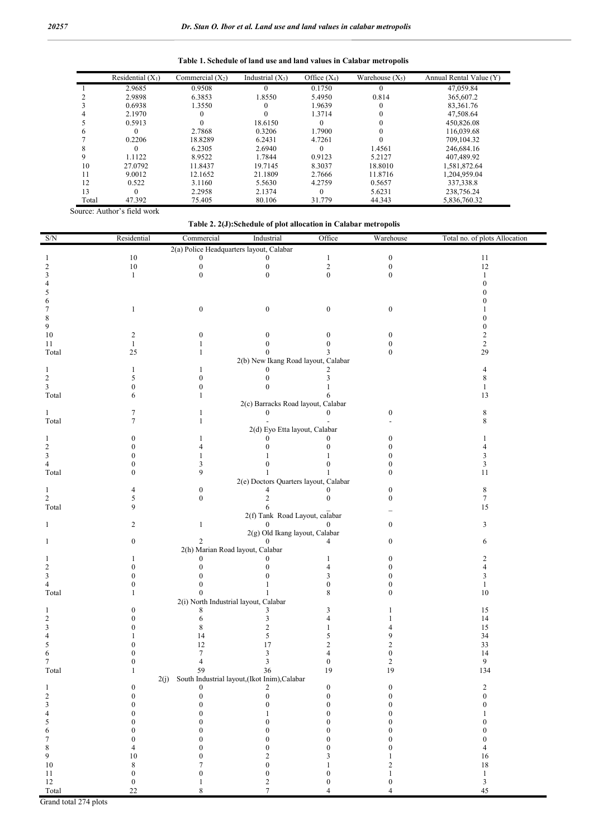**Table 1. Schedule of land use and land values in Calabar metropolis**

|       | Residential $(X_1)$ | Commercial $(X_2)$ | Industrial $(X_3)$ | Office $(X_4)$ | Warehouse $(X_5)$ | Annual Rental Value (Y) |
|-------|---------------------|--------------------|--------------------|----------------|-------------------|-------------------------|
|       | 2.9685              | 0.9508             | 0                  | 0.1750         |                   | 47,059.84               |
|       | 2.9898              | 6.3853             | 1.8550             | 5.4950         | 0.814             | 365,607.2               |
|       | 0.6938              | 1.3550             |                    | 1.9639         |                   | 83.361.76               |
|       | 2.1970              |                    |                    | 1.3714         |                   | 47,508.64               |
|       | 0.5913              |                    | 18.6150            | 0              |                   | 450,826.08              |
|       |                     | 2.7868             | 0.3206             | 1.7900         |                   | 116,039.68              |
|       | 0.2206              | 18.8289            | 6.2431             | 4.7261         |                   | 709,104.32              |
| х     | $\Omega$            | 6.2305             | 2.6940             | 0              | 1.4561            | 246,684.16              |
|       | 1.1122              | 8.9522             | 1.7844             | 0.9123         | 5.2127            | 407,489.92              |
| 10    | 27.0792             | 11.8437            | 19.7145            | 8.3037         | 18.8010           | 1,581,872.64            |
| 11    | 9.0012              | 12.1652            | 21.1809            | 2.7666         | 11.8716           | 1,204,959.04            |
| 12    | 0.522               | 3.1160             | 5.5630             | 4.2759         | 0.5657            | 337,338.8               |
| 13    | $\theta$            | 2.2958             | 2.1374             | 0              | 5.6231            | 238,756.24              |
| Total | 47.392              | 75.405             | 80.106             | 31.779         | 44.343            | 5,836,760.32            |

**Table 2. 2(J):Schedule of plot allocation in Calabar metropolis**

| S/N                             | Residential       | Commercial            | Industrial                                         | Office            | Warehouse        | Total no. of plots Allocation |
|---------------------------------|-------------------|-----------------------|----------------------------------------------------|-------------------|------------------|-------------------------------|
|                                 |                   |                       | 2(a) Police Headquarters layout, Calabar           |                   |                  |                               |
|                                 | $10\,$            | $\Omega$              | $\Omega$                                           | $\mathbf{1}$      | $\boldsymbol{0}$ | $11\,$                        |
| 2                               | $10\,$            | $\bf{0}$              | $\mathbf{0}$                                       | $\overline{c}$    | $\theta$         | 12                            |
| 3                               | $\mathbf{1}$      | $\theta$              | $\theta$                                           | $\mathbf{0}$      | $\theta$         | $\mathbf{1}$                  |
|                                 |                   |                       |                                                    |                   |                  |                               |
|                                 |                   |                       |                                                    |                   |                  |                               |
|                                 | 1                 | $\boldsymbol{0}$      | $\mathbf{0}$                                       | $\mathbf{0}$      | $\mathbf{0}$     |                               |
| 8                               |                   |                       |                                                    |                   |                  |                               |
| 9                               |                   |                       |                                                    |                   |                  |                               |
| $10\,$                          | 2                 | 0                     | 0                                                  | 0                 | 0                | 2                             |
| 11                              | 1                 |                       |                                                    |                   |                  | 2                             |
| Total                           | 25                | 1                     | $\Omega$                                           |                   | $\theta$         | 29                            |
|                                 |                   |                       | 2(b) New Ikang Road layout, Calabar                |                   |                  |                               |
| 1                               |                   | 1                     | $\Omega$                                           | 2                 |                  |                               |
| 2                               | 5                 | $\overline{0}$        | $\theta$                                           |                   |                  |                               |
| 3                               | 0                 | $\mathbf{0}$          | $\theta$                                           |                   |                  |                               |
| Total                           | 6                 | 1                     |                                                    |                   |                  | 13                            |
|                                 | 7                 |                       | 2(c) Barracks Road layout, Calabar<br>$\Omega$     | $\Omega$          |                  |                               |
| 1<br>Total                      | 7                 | 1<br>1                |                                                    |                   |                  | 8<br>8                        |
|                                 |                   |                       | 2(d) Eyo Etta layout, Calabar                      |                   |                  |                               |
| 1                               | 0                 | 1                     |                                                    | 0                 |                  |                               |
| 2                               |                   | 4                     | $\Omega$                                           | $\Omega$          |                  |                               |
| 3                               |                   |                       |                                                    |                   |                  | 3                             |
| $\overline{4}$                  |                   | 3                     | $\Omega$                                           | O                 |                  | 3                             |
| Total                           | 0                 | 9                     |                                                    |                   | 0                | 11                            |
|                                 |                   |                       | 2(e) Doctors Quarters layout, Calabar              |                   |                  |                               |
| 1                               | 4                 | $\mathbf{0}$          | $\overline{4}$                                     | $\Omega$          |                  | 8                             |
| $\overline{c}$                  | 5                 | $\Omega$              | 2                                                  | $\Omega$          | ∩                | 7                             |
| Total                           | 9                 |                       | 6                                                  |                   |                  | 15                            |
|                                 |                   |                       | 2(f) Tank Road Layout, calabar                     |                   |                  |                               |
| 1                               | 2                 | 1                     | $\Omega$<br>2(g) Old Ikang layout, Calabar         | 0                 | 0                | 3                             |
|                                 | 0                 |                       |                                                    |                   | $_{0}$           | 6                             |
|                                 |                   |                       | 2(h) Marian Road layout, Calabar                   |                   |                  |                               |
|                                 |                   | $\Omega$              | $\Omega$                                           |                   |                  |                               |
| 2                               | o                 | $\Omega$              | $\Omega$                                           | 4                 |                  |                               |
| 3                               |                   |                       | $\Omega$                                           | 3                 |                  |                               |
| 4                               |                   | $\theta$              |                                                    | $\theta$          |                  | 1                             |
| Total                           |                   | $\Omega$              |                                                    | 8                 | 0                | 10                            |
|                                 |                   |                       | 2(i) North Industrial layout, Calabar              |                   |                  |                               |
|                                 |                   | 8                     | 3                                                  |                   |                  | 15                            |
| 2                               |                   | 6                     | 3                                                  | $\Delta$          |                  | 14                            |
| 3                               |                   | 8                     | $\overline{2}$                                     |                   |                  | 15                            |
|                                 |                   | 14<br>12              | 5<br>17                                            | 5<br>2            |                  | 34<br>33                      |
|                                 |                   |                       | 3                                                  |                   |                  | 14                            |
| 7                               |                   |                       | 3                                                  | 0                 |                  | 9                             |
| Total                           |                   | 59                    | 36                                                 | 19                | 19               | 134                           |
|                                 |                   |                       | 2(j) South Industrial layout, (Ikot Inim), Calabar |                   |                  |                               |
| 1                               | 0                 | $\boldsymbol{0}$      | 2                                                  | $\boldsymbol{0}$  | $\boldsymbol{0}$ | $\overline{c}$                |
| $\sqrt{2}$                      | $\mathbf{0}$      | $\boldsymbol{0}$      | $\mathbf{0}$                                       | $\overline{0}$    | $\mathbf{0}$     | $\mathbf{0}$                  |
| 3                               | $\boldsymbol{0}$  | $\boldsymbol{0}$      | $\boldsymbol{0}$                                   | $\boldsymbol{0}$  | $\boldsymbol{0}$ | $\boldsymbol{0}$              |
| $\overline{\mathcal{L}}$        | $\boldsymbol{0}$  | $\boldsymbol{0}$      | 1                                                  | $\overline{0}$    | $\boldsymbol{0}$ |                               |
| 5                               | $\boldsymbol{0}$  | $\boldsymbol{0}$      | $\boldsymbol{0}$                                   | $\boldsymbol{0}$  | $\boldsymbol{0}$ | $\mathbf{0}$                  |
| 6                               | $\boldsymbol{0}$  | $\boldsymbol{0}$      | $\bf{0}$                                           | $\mathbf{0}$      | $\boldsymbol{0}$ | $\mathbf{0}$                  |
| 7                               | $\boldsymbol{0}$  | $\boldsymbol{0}$      | $\bf{0}$                                           | $\mathbf{0}$      | $\boldsymbol{0}$ | $\boldsymbol{0}$              |
| $\,$ 8 $\,$                     | 4                 | $\boldsymbol{0}$      | $\boldsymbol{0}$                                   | $\boldsymbol{0}$  | $\boldsymbol{0}$ | 4                             |
| 9<br>$10\,$                     | 10<br>$\,$ 8 $\,$ | $\boldsymbol{0}$<br>7 | $\overline{\mathbf{c}}$<br>$\boldsymbol{0}$        | 3<br>$\mathbf{1}$ | 2                | $16\,$<br>$1\,8$              |
| $11\,$                          | $\boldsymbol{0}$  | $\boldsymbol{0}$      | $\boldsymbol{0}$                                   | $\boldsymbol{0}$  | $\mathbf{1}$     | $\mathbf{1}$                  |
| $12\,$                          | $\boldsymbol{0}$  | $\mathbf{1}$          | $\sqrt{2}$                                         | $\boldsymbol{0}$  | $\boldsymbol{0}$ | $\mathfrak{Z}$                |
| $\operatorname{\mathsf{Total}}$ | 22                | $\,8\,$               | $\overline{7}$                                     | $\overline{4}$    | $\overline{4}$   | 45                            |

Grand total 274 plots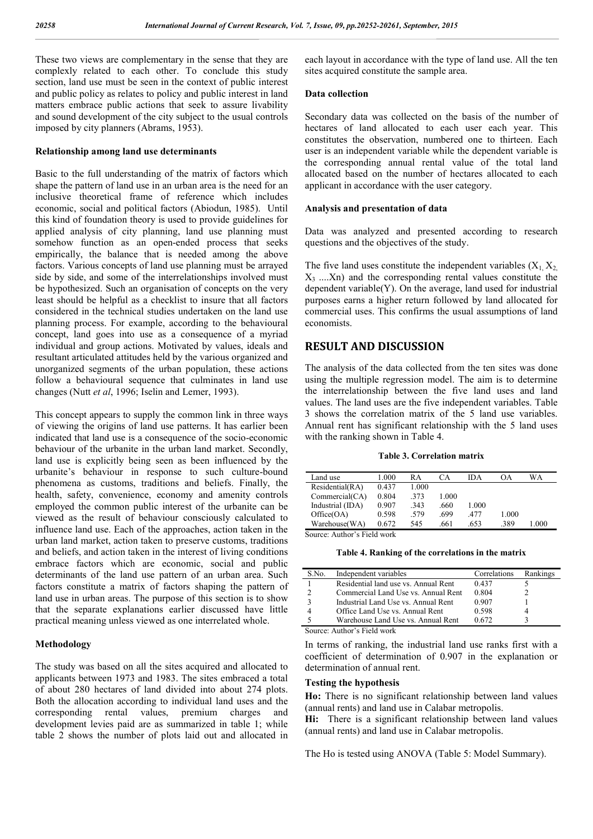These two views are complementary in the sense that they are complexly related to each other. To conclude this study section, land use must be seen in the context of public interest and public policy as relates to policy and public interest in land matters embrace public actions that seek to assure livability and sound development of the city subject to the usual controls imposed by city planners (Abrams, 1953).

#### **Relationship among land use determinants**

Basic to the full understanding of the matrix of factors which shape the pattern of land use in an urban area is the need for an inclusive theoretical frame of reference which includes economic, social and political factors (Abiodun, 1985). Until this kind of foundation theory is used to provide guidelines for applied analysis of city planning, land use planning must somehow function as an open-ended process that seeks empirically, the balance that is needed among the above factors. Various concepts of land use planning must be arrayed side by side, and some of the interrelationships involved must be hypothesized. Such an organisation of concepts on the very least should be helpful as a checklist to insure that all factors considered in the technical studies undertaken on the land use planning process. For example, according to the behavioural concept, land goes into use as a consequence of a myriad individual and group actions. Motivated by values, ideals and resultant articulated attitudes held by the various organized and unorganized segments of the urban population, these actions follow a behavioural sequence that culminates in land use changes (Nutt *et al*, 1996; Iselin and Lemer, 1993).

This concept appears to supply the common link in three ways of viewing the origins of land use patterns. It has earlier been indicated that land use is a consequence of the socio-economic behaviour of the urbanite in the urban land market. Secondly, land use is explicitly being seen as been influenced by the urbanite's behaviour in response to such culture-bound phenomena as customs, traditions and beliefs. Finally, the health, safety, convenience, economy and amenity controls employed the common public interest of the urbanite can be viewed as the result of behaviour consciously calculated to influence land use. Each of the approaches, action taken in the urban land market, action taken to preserve customs, traditions and beliefs, and action taken in the interest of living conditions embrace factors which are economic, social and public determinants of the land use pattern of an urban area. Such factors constitute a matrix of factors shaping the pattern of land use in urban areas. The purpose of this section is to show that the separate explanations earlier discussed have little practical meaning unless viewed as one interrelated whole.

#### **Methodology**

The study was based on all the sites acquired and allocated to applicants between 1973 and 1983. The sites embraced a total of about 280 hectares of land divided into about 274 plots. Both the allocation according to individual land uses and the corresponding rental values, premium charges and development levies paid are as summarized in table 1; while table 2 shows the number of plots laid out and allocated in

each layout in accordance with the type of land use. All the ten sites acquired constitute the sample area.

## **Data collection**

Secondary data was collected on the basis of the number of hectares of land allocated to each user each year. This constitutes the observation, numbered one to thirteen. Each user is an independent variable while the dependent variable is the corresponding annual rental value of the total land allocated based on the number of hectares allocated to each applicant in accordance with the user category.

## **Analysis and presentation of data**

Data was analyzed and presented according to research questions and the objectives of the study.

The five land uses constitute the independent variables  $(X_1, X_2)$  $X_3$  ....Xn) and the corresponding rental values constitute the dependent variable(Y). On the average, land used for industrial purposes earns a higher return followed by land allocated for commercial uses. This confirms the usual assumptions of land economists.

# **RESULT AND DISCUSSION**

The analysis of the data collected from the ten sites was done using the multiple regression model. The aim is to determine the interrelationship between the five land uses and land values. The land uses are the five independent variables. Table 3 shows the correlation matrix of the 5 land use variables. Annual rent has significant relationship with the 5 land uses with the ranking shown in Table 4.

**Table 3. Correlation matrix**

| Land use         | 1.000 | RА    | CА    | IDA   | ΩA    | WA    |
|------------------|-------|-------|-------|-------|-------|-------|
| Residential(RA)  | 0.437 | 1.000 |       |       |       |       |
| Commercial(CA)   | 0.804 | 373   | 1.000 |       |       |       |
| Industrial (IDA) | 0.907 | 343   | .660  | 1.000 |       |       |
| Office(OA)       | 0.598 | .579  | .699  | .477  | 1.000 |       |
| Warehouse(WA)    | 0.672 | 545   | .661  | .653  | .389  | 1.000 |
| $C = 1$          |       |       |       |       |       |       |

Source: Author's Field work

**Table 4. Ranking of the correlations in the matrix**

| S.No. | Independent variables                | Correlations | Rankings |
|-------|--------------------------------------|--------------|----------|
|       | Residential land use vs. Annual Rent | 0.437        |          |
|       | Commercial Land Use vs. Annual Rent  | 0.804        |          |
|       | Industrial Land Use vs. Annual Rent  | 0.907        |          |
|       | Office Land Use vs. Annual Rent      | 0.598        |          |
|       | Warehouse Land Use vs. Annual Rent   | 0.672        |          |

Source: Author's Field work

In terms of ranking, the industrial land use ranks first with a coefficient of determination of 0.907 in the explanation or determination of annual rent.

## **Testing the hypothesis**

**Ho:** There is no significant relationship between land values (annual rents) and land use in Calabar metropolis.

Hi: There is a significant relationship between land values (annual rents) and land use in Calabar metropolis.

The Ho is tested using ANOVA (Table 5: Model Summary).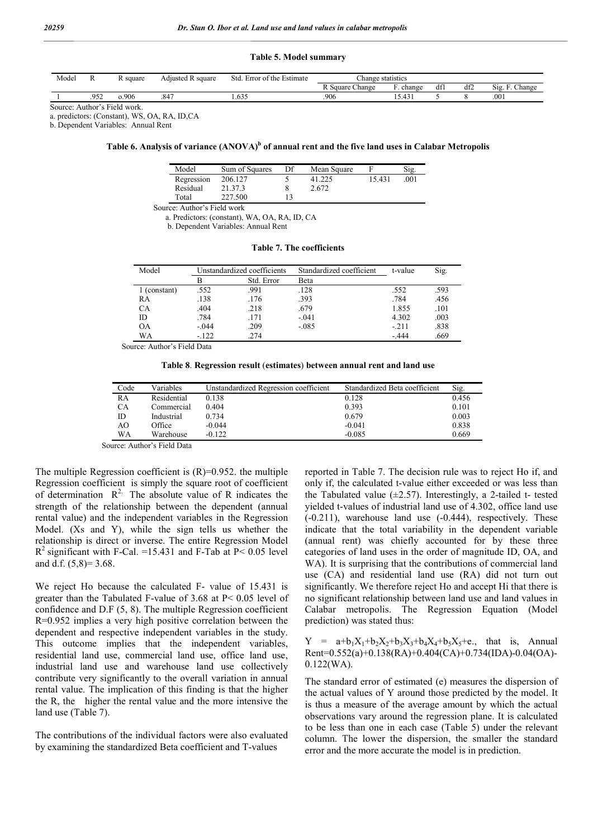#### **Table 5. Model summary**

| Model |      | square | <b>Adiusted R square</b> | $\sim$<br>Std.<br>of the<br>Estimate<br><b>Error</b> | Change statistics         |                        |               |     |                                    |
|-------|------|--------|--------------------------|------------------------------------------------------|---------------------------|------------------------|---------------|-----|------------------------------------|
|       |      |        |                          |                                                      | $\sim$<br>. Square Change | $\sim$<br>change       | $\sim$<br>dfl | df2 | $\sim$<br>$\sim$<br>Change<br>S12. |
|       | .952 | 0.906  | ، 84                     | .633                                                 | .906                      | $\sqrt{2}$<br>∸<br>. ד |               |     | .001                               |

Source: Author's Field work.

a. predictors: (Constant), WS, OA, RA, ID,CA

b. Dependent Variables: Annual Rent

## Table 6. Analysis of variance (ANOVA)<sup>b</sup> of annual rent and the five land uses in Calabar Metropolis

| Model      | Sum of Squares | Df | Mean Square |        | Sig. |
|------------|----------------|----|-------------|--------|------|
| Regression | 206.127        |    | 41.225      | 15.431 | .001 |
| Residual   | 21.37.3        |    | 2.672       |        |      |
| Total      | 227.500        |    |             |        |      |

Source: Author's Field work

a. Predictors: (constant), WA, OA, RA, ID, CA

b. Dependent Variables: Annual Rent

**Table 7. The coefficients**

| Model      | Unstandardized coefficients |            | Standardized coefficient | t-value | Sig. |
|------------|-----------------------------|------------|--------------------------|---------|------|
|            | в                           | Std. Error | Beta                     |         |      |
| (constant) | .552                        | .991       | .128                     | .552    | .593 |
| RA         | .138                        | .176       | .393                     | .784    | .456 |
| CA         | .404                        | .218       | .679                     | 1.855   | .101 |
| ID         | .784                        | .171       | $-.041$                  | 4.302   | .003 |
| <b>OA</b>  | $-0.44$                     | .209       | $-.085$                  | $-211$  | .838 |
| WA         | $-122$                      | .274       |                          | $-444$  | .669 |

Source: Author's Field Data

**Table 8**. **Regression result** (**estimates**) **between annual rent and land use**

| Code | Variables                                                       | Unstandardized Regression coefficient | Standardized Beta coefficient | Sig.  |
|------|-----------------------------------------------------------------|---------------------------------------|-------------------------------|-------|
| RA   | Residential                                                     | 0.138                                 | 0.128                         | 0.456 |
| CА   | Commercial                                                      | 0.404                                 | 0.393                         | 0.101 |
| ID   | Industrial                                                      | 0.734                                 | 0.679                         | 0.003 |
| AO   | Office                                                          | $-0.044$                              | $-0.041$                      | 0.838 |
| WA   | Warehouse                                                       | $-0.122$                              | $-0.085$                      | 0.669 |
|      | $\mathbf{1}$ and $\mathbf{1}$ and $\mathbf{1}$ and $\mathbf{1}$ |                                       |                               |       |

Source: Author's Field Data

The multiple Regression coefficient is  $(R)=0.952$ . the multiple Regression coefficient is simply the square root of coefficient of determination  $R^2$ . The absolute value of R indicates the strength of the relationship between the dependent (annual rental value) and the independent variables in the Regression Model. (Xs and Y), while the sign tells us whether the relationship is direct or inverse. The entire Regression Model  $R<sup>2</sup>$  significant with F-Cal. =15.431 and F-Tab at P< 0.05 level and d.f.  $(5,8)=3.68$ .

We reject Ho because the calculated F- value of 15.431 is greater than the Tabulated F-value of 3.68 at P< 0.05 level of confidence and D.F (5, 8). The multiple Regression coefficient R=0.952 implies a very high positive correlation between the dependent and respective independent variables in the study. This outcome implies that the independent variables, residential land use, commercial land use, office land use, industrial land use and warehouse land use collectively contribute very significantly to the overall variation in annual rental value. The implication of this finding is that the higher the R, the higher the rental value and the more intensive the land use (Table 7).

The contributions of the individual factors were also evaluated by examining the standardized Beta coefficient and T-values

reported in Table 7. The decision rule was to reject Ho if, and only if, the calculated t-value either exceeded or was less than the Tabulated value  $(\pm 2.57)$ . Interestingly, a 2-tailed t- tested yielded t-values of industrial land use of 4.302, office land use (-0.211), warehouse land use (-0.444), respectively. These indicate that the total variability in the dependent variable (annual rent) was chiefly accounted for by these three categories of land uses in the order of magnitude ID, OA, and WA). It is surprising that the contributions of commercial land use (CA) and residential land use (RA) did not turn out significantly. We therefore reject Ho and accept Hi that there is no significant relationship between land use and land values in Calabar metropolis. The Regression Equation (Model prediction) was stated thus:

 $Y = a+b_1X_1+b_2X_2+b_3X_3+b_4X_4+b_5X_5+c$ , that is, Annual Rent=0.552(a)+0.138(RA)+0.404(CA)+0.734(IDA)-0.04(OA)- 0.122(WA).

The standard error of estimated (e) measures the dispersion of the actual values of Y around those predicted by the model. It is thus a measure of the average amount by which the actual observations vary around the regression plane. It is calculated to be less than one in each case (Table 5) under the relevant column. The lower the dispersion, the smaller the standard error and the more accurate the model is in prediction.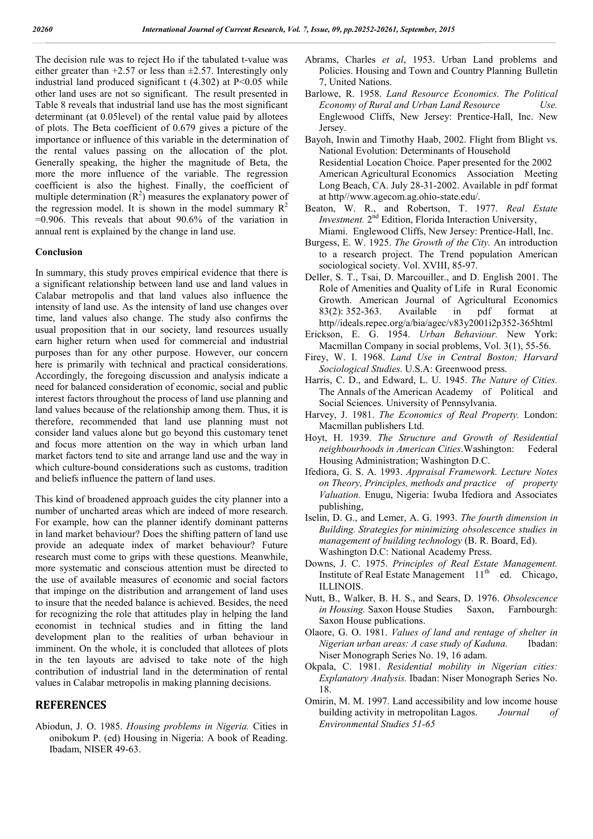The decision rule was to reject Ho if the tabulated t-value was either greater than  $+2.57$  or less than  $\pm 2.57$ . Interestingly only industrial land produced significant  $t$  (4.302) at P<0.05 while other land uses are not so significant. The result presented in Table 8 reveals that industrial land use has the most significant determinant (at 0.05level) of the rental value paid by allotees of plots. The Beta coefficient of 0.679 gives a picture of the importance or influence of this variable in the determination of the rental values passing on the allocation of the plot. Generally speaking, the higher the magnitude of Beta, the more the more influence of the variable. The regression coefficient is also the highest. Finally, the coefficient of multiple determination  $(R^2)$  measures the explanatory power of the regression model. It is shown in the model summary  $R^2$ =0.906. This reveals that about 90.6% of the variation in annual rent is explained by the change in land use.

### **Conclusion**

In summary, this study proves empirical evidence that there is a significant relationship between land use and land values in Calabar metropolis and that land values also influence the intensity of land use. As the intensity of land use changes over time, land values also change. The study also confirms the usual proposition that in our society, land resources usually earn higher return when used for commercial and industrial purposes than for any other purpose. However, our concern here is primarily with technical and practical considerations. Accordingly, the foregoing discussion and analysis indicate a need for balanced consideration of economic, social and public interest factors throughout the process of land use planning and land values because of the relationship among them. Thus, it is therefore, recommended that land use planning must not consider land values alone but go beyond this customary tenet and focus more attention on the way in which urban land market factors tend to site and arrange land use and the way in which culture-bound considerations such as customs, tradition and beliefs influence the pattern of land uses.

This kind of broadened approach guides the city planner into a number of uncharted areas which are indeed of more research. For example, how can the planner identify dominant patterns in land market behaviour? Does the shifting pattern of land use provide an adequate index of market behaviour? Future research must come to grips with these questions. Meanwhile, more systematic and conscious attention must be directed to the use of available measures of economic and social factors that impinge on the distribution and arrangement of land uses to insure that the needed balance is achieved. Besides, the need for recognizing the role that attitudes play in helping the land economist in technical studies and in fitting the land development plan to the realities of urban behaviour in imminent. On the whole, it is concluded that allotees of plots in the ten layouts are advised to take note of the high contribution of industrial land in the determination of rental values in Calabar metropolis in making planning decisions.

## **REFERENCES**

Abiodun, J. O. 1985. *Housing problems in Nigeria.* Cities in onibokum P. (ed) Housing in Nigeria: A book of Reading. Ibadam, NISER 49-63.

- Abrams, Charles *et al*, 1953. Urban Land problems and Policies. Housing and Town and Country Planning Bulletin 7, United Nations.
- Barlowe, R. 1958. *Land Resource Economics. The Political Economy of Rural and Urban Land Resource Use.* Englewood Cliffs, New Jersey: Prentice-Hall, Inc. New *<u>Jersey</u>*
- Bayoh, Inwin and Timothy Haab, 2002. Flight from Blight vs. National Evolution: Determinants of Household Residential Location Choice. Paper presented for the 2002 American Agricultural Economics Association Meeting Long Beach, CA. July 28-31-2002. Available in pdf format at http//www.agecom.ag.ohio-state.edu/.
- Beaton, W. R., and Robertson, T. 1977. *Real Estate Investment.* 2nd Edition, Florida Interaction University, Miami. Englewood Cliffs, New Jersey: Prentice-Hall, Inc.
- Burgess, E. W. 1925. *The Growth of the City.* An introduction to a research project. The Trend population American sociological society. Vol. XVIII, 85-97.
- Deller, S. T., Tsai, D. Marcouiller., and D. English 2001. The Role of Amenities and Quality of Life in Rural Economic Growth. American Journal of Agricultural Economics 83(2): 352-363. Available in pdf format at http//ideals.repec.org/a/bia/agec/v83y2001i2p352-365html
- Erickson, E. G. 1954. *Urban Behaviour.* New York: Macmillan Company in social problems, Vol. 3(1), 55-56.
- Firey, W. I. 1968. *Land Use in Central Boston; Harvard Sociological Studies.* U.S.A: Greenwood press.
- Harris, C. D., and Edward, L. U. 1945. *The Nature of Cities.* The Annals of the American Academy of Political and Social Sciences. University of Pennsylvania.
- Harvey, J. 1981. *The Economics of Real Property.* London: Macmillan publishers Ltd.
- Hoyt, H. 1939. *The Structure and Growth of Residential neighbourhoods in American Cities*.Washington: Federal Housing Administration; Washington D.C.
- Ifediora, G. S. A. 1993. *Appraisal Framework. Lecture Notes on Theory, Principles, methods and practice of property Valuation.* Enugu, Nigeria: Iwuba Ifediora and Associates publishing,
- Iselin, D. G., and Lemer, A. G. 1993. *The fourth dimension in Building. Strategies for minimizing obsolescence studies in management of building technology* (B. R. Board, Ed). Washington D.C: National Academy Press.
- Downs, J. C. 1975. *Principles of Real Estate Management.* Institute of Real Estate Management  $11<sup>th</sup>$  ed. Chicago, ILLINOIS.
- Nutt, B., Walker, B. H. S., and Sears, D. 1976. *Obsolescence in Housing.* Saxon House Studies Saxon, Farnbourgh: Saxon House publications.
- Olaore, G. O. 1981. *Values of land and rentage of shelter in Nigerian urban areas: A case study of Kaduna.* Ibadan: Niser Monograph Series No. 19, 16 adam.
- Okpala, C. 1981. *Residential mobility in Nigerian cities: Explanatory Analysis.* Ibadan: Niser Monograph Series No. 18.
- Omirin, M. M. 1997. Land accessibility and low income house building activity in metropolitan Lagos. *Journal of Environmental Studies 51-65*